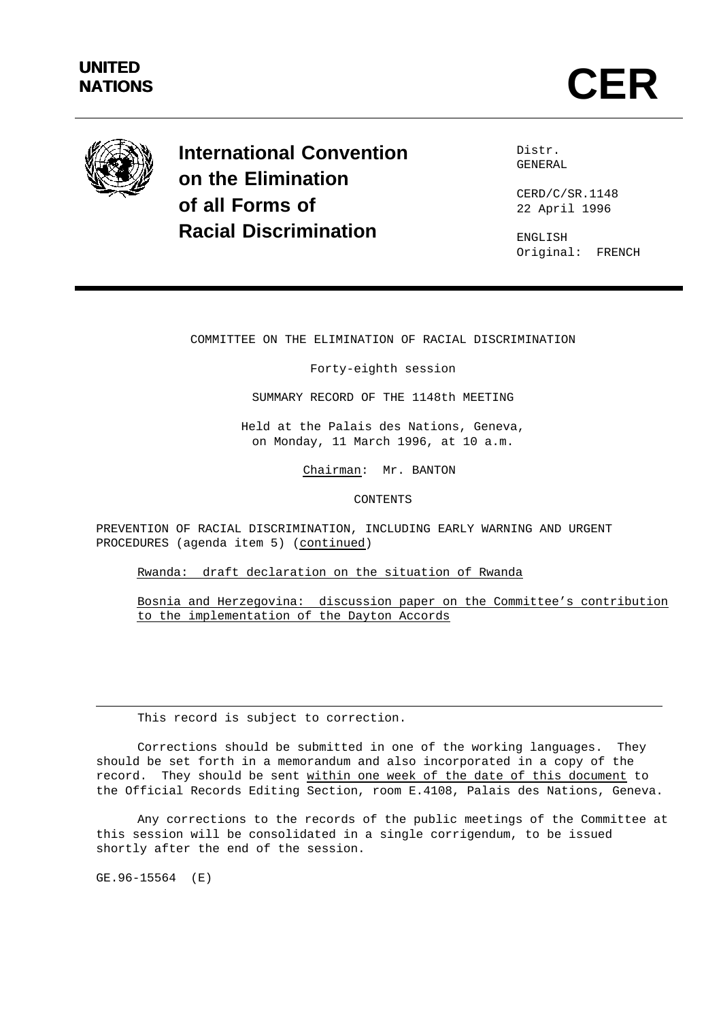# **UNITED**



**International Convention on the Elimination of all Forms of Racial Discrimination**

Distr. GENERAL

CERD/C/SR.1148 22 April 1996

ENGLISH Original: FRENCH

COMMITTEE ON THE ELIMINATION OF RACIAL DISCRIMINATION

Forty-eighth session

SUMMARY RECORD OF THE 1148th MEETING

Held at the Palais des Nations, Geneva, on Monday, 11 March 1996, at 10 a.m.

Chairman: Mr. BANTON

CONTENTS

PREVENTION OF RACIAL DISCRIMINATION, INCLUDING EARLY WARNING AND URGENT PROCEDURES (agenda item 5) (continued)

Rwanda: draft declaration on the situation of Rwanda

Bosnia and Herzegovina: discussion paper on the Committee's contribution to the implementation of the Dayton Accords

This record is subject to correction.

Corrections should be submitted in one of the working languages. They should be set forth in a memorandum and also incorporated in a copy of the record. They should be sent within one week of the date of this document to the Official Records Editing Section, room E.4108, Palais des Nations, Geneva.

Any corrections to the records of the public meetings of the Committee at this session will be consolidated in a single corrigendum, to be issued shortly after the end of the session.

GE.96-15564 (E)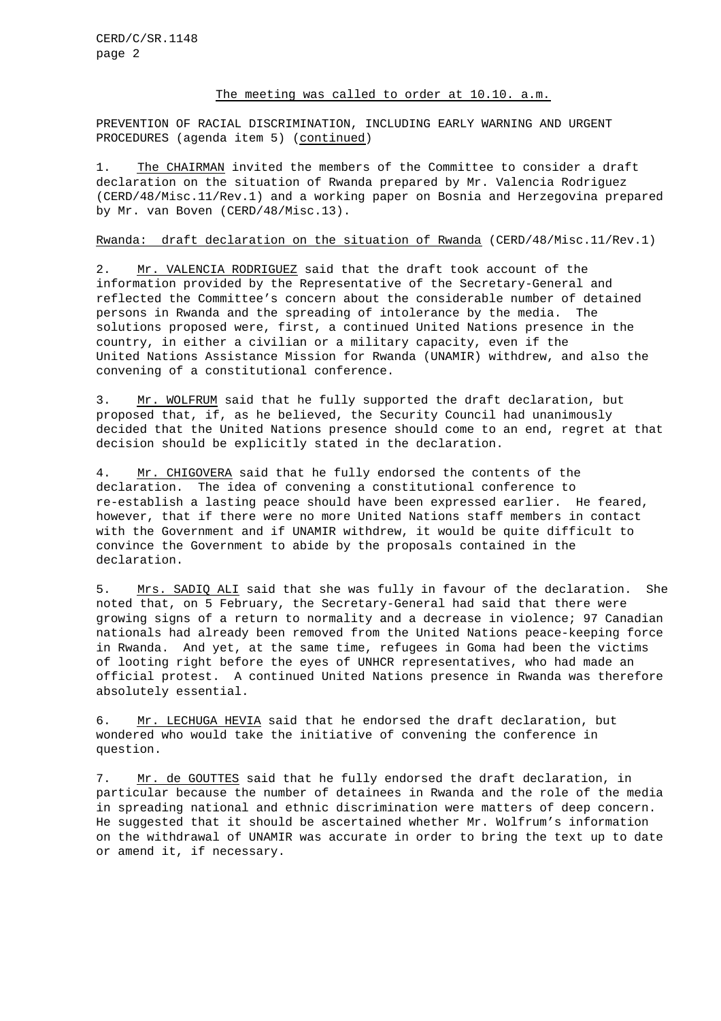### The meeting was called to order at 10.10. a.m.

PREVENTION OF RACIAL DISCRIMINATION, INCLUDING EARLY WARNING AND URGENT PROCEDURES (agenda item 5) (continued)

1. The CHAIRMAN invited the members of the Committee to consider a draft declaration on the situation of Rwanda prepared by Mr. Valencia Rodriguez (CERD/48/Misc.11/Rev.1) and a working paper on Bosnia and Herzegovina prepared by Mr. van Boven (CERD/48/Misc.13).

## Rwanda: draft declaration on the situation of Rwanda (CERD/48/Misc.11/Rev.1)

2. Mr. VALENCIA RODRIGUEZ said that the draft took account of the information provided by the Representative of the Secretary-General and reflected the Committee's concern about the considerable number of detained persons in Rwanda and the spreading of intolerance by the media. The solutions proposed were, first, a continued United Nations presence in the country, in either a civilian or a military capacity, even if the United Nations Assistance Mission for Rwanda (UNAMIR) withdrew, and also the convening of a constitutional conference.

3. Mr. WOLFRUM said that he fully supported the draft declaration, but proposed that, if, as he believed, the Security Council had unanimously decided that the United Nations presence should come to an end, regret at that decision should be explicitly stated in the declaration.

4. Mr. CHIGOVERA said that he fully endorsed the contents of the declaration. The idea of convening a constitutional conference to re-establish a lasting peace should have been expressed earlier. He feared, however, that if there were no more United Nations staff members in contact with the Government and if UNAMIR withdrew, it would be quite difficult to convince the Government to abide by the proposals contained in the declaration.

5. Mrs. SADIQ ALI said that she was fully in favour of the declaration. She noted that, on 5 February, the Secretary-General had said that there were growing signs of a return to normality and a decrease in violence; 97 Canadian nationals had already been removed from the United Nations peace-keeping force in Rwanda. And yet, at the same time, refugees in Goma had been the victims of looting right before the eyes of UNHCR representatives, who had made an official protest. A continued United Nations presence in Rwanda was therefore absolutely essential.

6. Mr. LECHUGA HEVIA said that he endorsed the draft declaration, but wondered who would take the initiative of convening the conference in question.

7. Mr. de GOUTTES said that he fully endorsed the draft declaration, in particular because the number of detainees in Rwanda and the role of the media in spreading national and ethnic discrimination were matters of deep concern. He suggested that it should be ascertained whether Mr. Wolfrum's information on the withdrawal of UNAMIR was accurate in order to bring the text up to date or amend it, if necessary.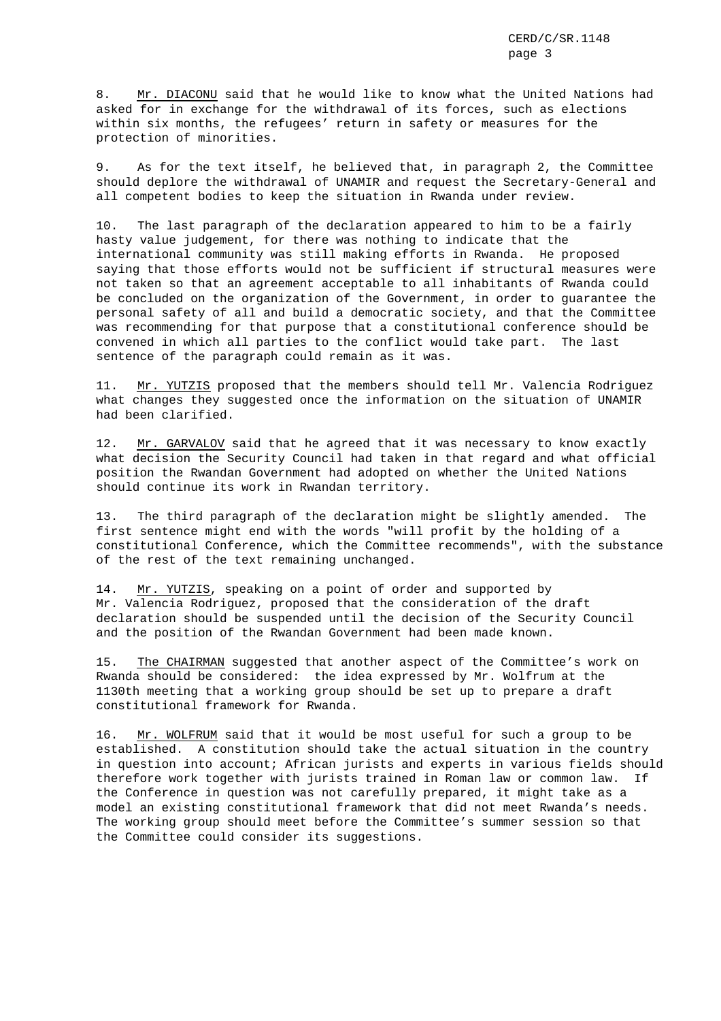8. Mr. DIACONU said that he would like to know what the United Nations had asked for in exchange for the withdrawal of its forces, such as elections within six months, the refugees' return in safety or measures for the protection of minorities.

9. As for the text itself, he believed that, in paragraph 2, the Committee should deplore the withdrawal of UNAMIR and request the Secretary-General and all competent bodies to keep the situation in Rwanda under review.

10. The last paragraph of the declaration appeared to him to be a fairly hasty value judgement, for there was nothing to indicate that the international community was still making efforts in Rwanda. He proposed saying that those efforts would not be sufficient if structural measures were not taken so that an agreement acceptable to all inhabitants of Rwanda could be concluded on the organization of the Government, in order to guarantee the personal safety of all and build a democratic society, and that the Committee was recommending for that purpose that a constitutional conference should be convened in which all parties to the conflict would take part. The last sentence of the paragraph could remain as it was.

11. Mr. YUTZIS proposed that the members should tell Mr. Valencia Rodriguez what changes they suggested once the information on the situation of UNAMIR had been clarified.

12. Mr. GARVALOV said that he agreed that it was necessary to know exactly what decision the Security Council had taken in that regard and what official position the Rwandan Government had adopted on whether the United Nations should continue its work in Rwandan territory.

13. The third paragraph of the declaration might be slightly amended. The first sentence might end with the words "will profit by the holding of a constitutional Conference, which the Committee recommends", with the substance of the rest of the text remaining unchanged.

14. Mr. YUTZIS, speaking on a point of order and supported by Mr. Valencia Rodriguez, proposed that the consideration of the draft declaration should be suspended until the decision of the Security Council and the position of the Rwandan Government had been made known.

15. The CHAIRMAN suggested that another aspect of the Committee's work on Rwanda should be considered: the idea expressed by Mr. Wolfrum at the 1130th meeting that a working group should be set up to prepare a draft constitutional framework for Rwanda.

16. Mr. WOLFRUM said that it would be most useful for such a group to be established. A constitution should take the actual situation in the country in question into account; African jurists and experts in various fields should therefore work together with jurists trained in Roman law or common law. If the Conference in question was not carefully prepared, it might take as a model an existing constitutional framework that did not meet Rwanda's needs. The working group should meet before the Committee's summer session so that the Committee could consider its suggestions.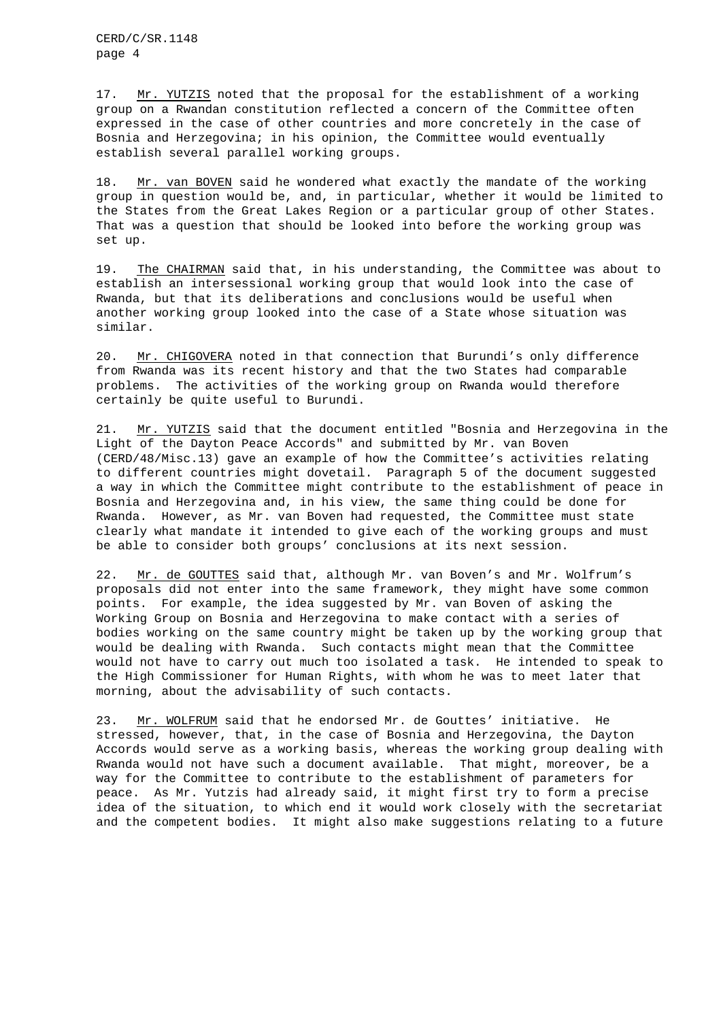17. Mr. YUTZIS noted that the proposal for the establishment of a working group on a Rwandan constitution reflected a concern of the Committee often expressed in the case of other countries and more concretely in the case of Bosnia and Herzegovina; in his opinion, the Committee would eventually establish several parallel working groups.

18. Mr. van BOVEN said he wondered what exactly the mandate of the working group in question would be, and, in particular, whether it would be limited to the States from the Great Lakes Region or a particular group of other States. That was a question that should be looked into before the working group was set up.

19. The CHAIRMAN said that, in his understanding, the Committee was about to establish an intersessional working group that would look into the case of Rwanda, but that its deliberations and conclusions would be useful when another working group looked into the case of a State whose situation was similar.

20. Mr. CHIGOVERA noted in that connection that Burundi's only difference from Rwanda was its recent history and that the two States had comparable problems. The activities of the working group on Rwanda would therefore certainly be quite useful to Burundi.

21. Mr. YUTZIS said that the document entitled "Bosnia and Herzegovina in the Light of the Dayton Peace Accords" and submitted by Mr. van Boven (CERD/48/Misc.13) gave an example of how the Committee's activities relating to different countries might dovetail. Paragraph 5 of the document suggested a way in which the Committee might contribute to the establishment of peace in Bosnia and Herzegovina and, in his view, the same thing could be done for Rwanda. However, as Mr. van Boven had requested, the Committee must state clearly what mandate it intended to give each of the working groups and must be able to consider both groups' conclusions at its next session.

22. Mr. de GOUTTES said that, although Mr. van Boven's and Mr. Wolfrum's proposals did not enter into the same framework, they might have some common points. For example, the idea suggested by Mr. van Boven of asking the Working Group on Bosnia and Herzegovina to make contact with a series of bodies working on the same country might be taken up by the working group that would be dealing with Rwanda. Such contacts might mean that the Committee would not have to carry out much too isolated a task. He intended to speak to the High Commissioner for Human Rights, with whom he was to meet later that morning, about the advisability of such contacts.

23. Mr. WOLFRUM said that he endorsed Mr. de Gouttes' initiative. He stressed, however, that, in the case of Bosnia and Herzegovina, the Dayton Accords would serve as a working basis, whereas the working group dealing with Rwanda would not have such a document available. That might, moreover, be a way for the Committee to contribute to the establishment of parameters for peace. As Mr. Yutzis had already said, it might first try to form a precise idea of the situation, to which end it would work closely with the secretariat and the competent bodies. It might also make suggestions relating to a future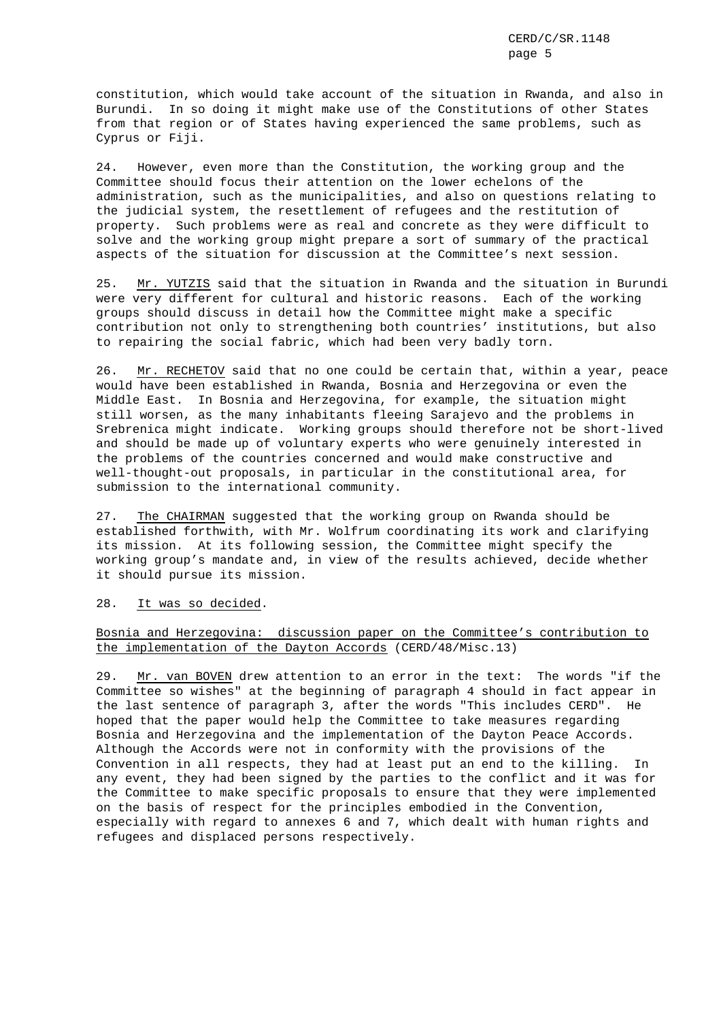constitution, which would take account of the situation in Rwanda, and also in Burundi. In so doing it might make use of the Constitutions of other States from that region or of States having experienced the same problems, such as Cyprus or Fiji.

24. However, even more than the Constitution, the working group and the Committee should focus their attention on the lower echelons of the administration, such as the municipalities, and also on questions relating to the judicial system, the resettlement of refugees and the restitution of property. Such problems were as real and concrete as they were difficult to solve and the working group might prepare a sort of summary of the practical aspects of the situation for discussion at the Committee's next session.

25. Mr. YUTZIS said that the situation in Rwanda and the situation in Burundi were very different for cultural and historic reasons. Each of the working groups should discuss in detail how the Committee might make a specific contribution not only to strengthening both countries' institutions, but also to repairing the social fabric, which had been very badly torn.

26. Mr. RECHETOV said that no one could be certain that, within a year, peace would have been established in Rwanda, Bosnia and Herzegovina or even the Middle East. In Bosnia and Herzegovina, for example, the situation might still worsen, as the many inhabitants fleeing Sarajevo and the problems in Srebrenica might indicate. Working groups should therefore not be short-lived and should be made up of voluntary experts who were genuinely interested in the problems of the countries concerned and would make constructive and well-thought-out proposals, in particular in the constitutional area, for submission to the international community.

27. The CHAIRMAN suggested that the working group on Rwanda should be established forthwith, with Mr. Wolfrum coordinating its work and clarifying its mission. At its following session, the Committee might specify the working group's mandate and, in view of the results achieved, decide whether it should pursue its mission.

#### 28. It was so decided.

# Bosnia and Herzegovina: discussion paper on the Committee's contribution to the implementation of the Dayton Accords (CERD/48/Misc.13)

29. Mr. van BOVEN drew attention to an error in the text: The words "if the Committee so wishes" at the beginning of paragraph 4 should in fact appear in the last sentence of paragraph 3, after the words "This includes CERD". He hoped that the paper would help the Committee to take measures regarding Bosnia and Herzegovina and the implementation of the Dayton Peace Accords. Although the Accords were not in conformity with the provisions of the Convention in all respects, they had at least put an end to the killing. In any event, they had been signed by the parties to the conflict and it was for the Committee to make specific proposals to ensure that they were implemented on the basis of respect for the principles embodied in the Convention, especially with regard to annexes 6 and 7, which dealt with human rights and refugees and displaced persons respectively.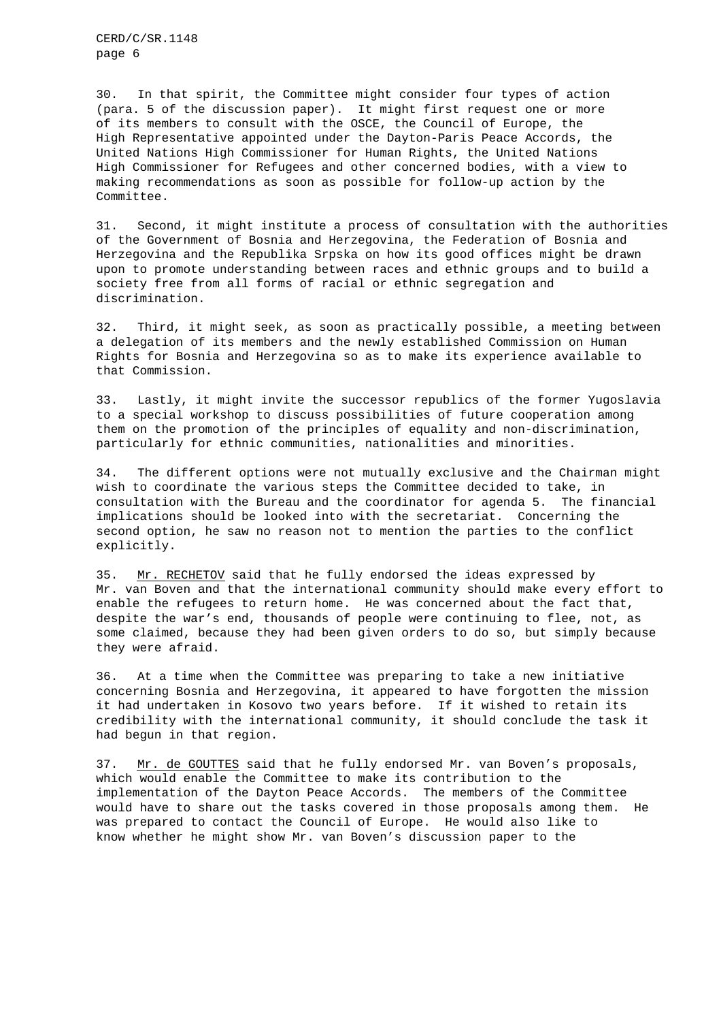CERD/C/SR.1148 page 6

30. In that spirit, the Committee might consider four types of action (para. 5 of the discussion paper). It might first request one or more of its members to consult with the OSCE, the Council of Europe, the High Representative appointed under the Dayton-Paris Peace Accords, the United Nations High Commissioner for Human Rights, the United Nations High Commissioner for Refugees and other concerned bodies, with a view to making recommendations as soon as possible for follow-up action by the Committee.

31. Second, it might institute a process of consultation with the authorities of the Government of Bosnia and Herzegovina, the Federation of Bosnia and Herzegovina and the Republika Srpska on how its good offices might be drawn upon to promote understanding between races and ethnic groups and to build a society free from all forms of racial or ethnic segregation and discrimination.

32. Third, it might seek, as soon as practically possible, a meeting between a delegation of its members and the newly established Commission on Human Rights for Bosnia and Herzegovina so as to make its experience available to that Commission.

33. Lastly, it might invite the successor republics of the former Yugoslavia to a special workshop to discuss possibilities of future cooperation among them on the promotion of the principles of equality and non-discrimination, particularly for ethnic communities, nationalities and minorities.

34. The different options were not mutually exclusive and the Chairman might wish to coordinate the various steps the Committee decided to take, in consultation with the Bureau and the coordinator for agenda 5. The financial implications should be looked into with the secretariat. Concerning the second option, he saw no reason not to mention the parties to the conflict explicitly.

35. Mr. RECHETOV said that he fully endorsed the ideas expressed by Mr. van Boven and that the international community should make every effort to enable the refugees to return home. He was concerned about the fact that, despite the war's end, thousands of people were continuing to flee, not, as some claimed, because they had been given orders to do so, but simply because they were afraid.

36. At a time when the Committee was preparing to take a new initiative concerning Bosnia and Herzegovina, it appeared to have forgotten the mission it had undertaken in Kosovo two years before. If it wished to retain its credibility with the international community, it should conclude the task it had begun in that region.

37. Mr. de GOUTTES said that he fully endorsed Mr. van Boven's proposals, which would enable the Committee to make its contribution to the implementation of the Dayton Peace Accords. The members of the Committee would have to share out the tasks covered in those proposals among them. He was prepared to contact the Council of Europe. He would also like to know whether he might show Mr. van Boven's discussion paper to the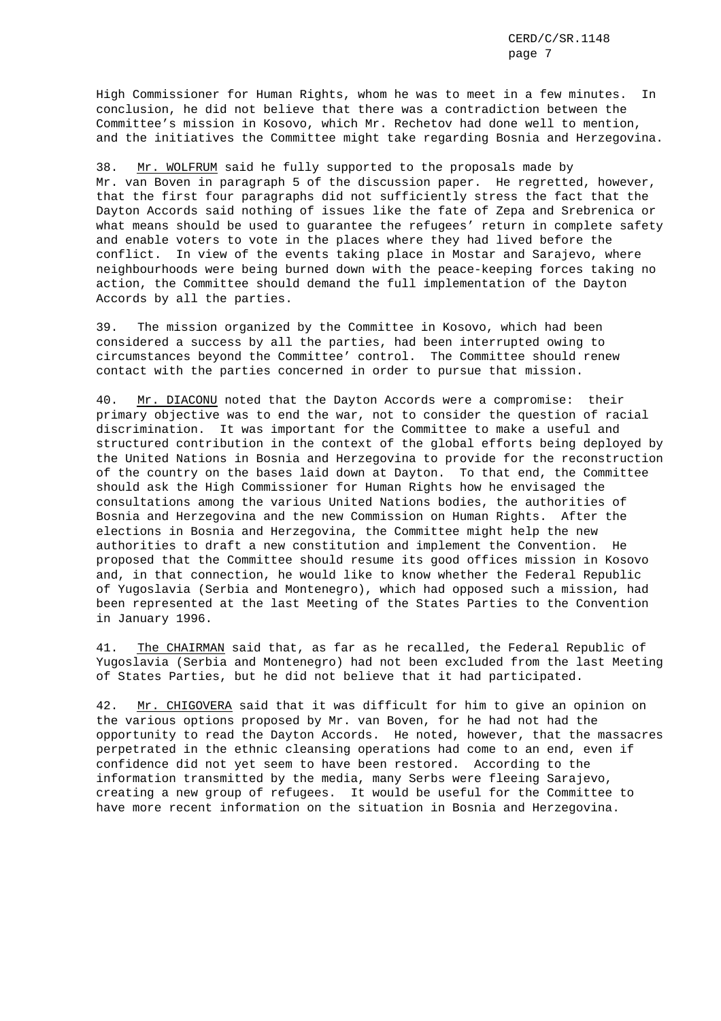High Commissioner for Human Rights, whom he was to meet in a few minutes. In conclusion, he did not believe that there was a contradiction between the Committee's mission in Kosovo, which Mr. Rechetov had done well to mention, and the initiatives the Committee might take regarding Bosnia and Herzegovina.

38. Mr. WOLFRUM said he fully supported to the proposals made by Mr. van Boven in paragraph 5 of the discussion paper. He regretted, however, that the first four paragraphs did not sufficiently stress the fact that the Dayton Accords said nothing of issues like the fate of Zepa and Srebrenica or what means should be used to guarantee the refugees' return in complete safety and enable voters to vote in the places where they had lived before the conflict. In view of the events taking place in Mostar and Sarajevo, where neighbourhoods were being burned down with the peace-keeping forces taking no action, the Committee should demand the full implementation of the Dayton Accords by all the parties.

39. The mission organized by the Committee in Kosovo, which had been considered a success by all the parties, had been interrupted owing to circumstances beyond the Committee' control. The Committee should renew contact with the parties concerned in order to pursue that mission.

40. Mr. DIACONU noted that the Dayton Accords were a compromise: their primary objective was to end the war, not to consider the question of racial discrimination. It was important for the Committee to make a useful and structured contribution in the context of the global efforts being deployed by the United Nations in Bosnia and Herzegovina to provide for the reconstruction of the country on the bases laid down at Dayton. To that end, the Committee should ask the High Commissioner for Human Rights how he envisaged the consultations among the various United Nations bodies, the authorities of Bosnia and Herzegovina and the new Commission on Human Rights. After the elections in Bosnia and Herzegovina, the Committee might help the new authorities to draft a new constitution and implement the Convention. He proposed that the Committee should resume its good offices mission in Kosovo and, in that connection, he would like to know whether the Federal Republic of Yugoslavia (Serbia and Montenegro), which had opposed such a mission, had been represented at the last Meeting of the States Parties to the Convention in January 1996.

41. The CHAIRMAN said that, as far as he recalled, the Federal Republic of Yugoslavia (Serbia and Montenegro) had not been excluded from the last Meeting of States Parties, but he did not believe that it had participated.

42. Mr. CHIGOVERA said that it was difficult for him to give an opinion on the various options proposed by Mr. van Boven, for he had not had the opportunity to read the Dayton Accords. He noted, however, that the massacres perpetrated in the ethnic cleansing operations had come to an end, even if confidence did not yet seem to have been restored. According to the information transmitted by the media, many Serbs were fleeing Sarajevo, creating a new group of refugees. It would be useful for the Committee to have more recent information on the situation in Bosnia and Herzegovina.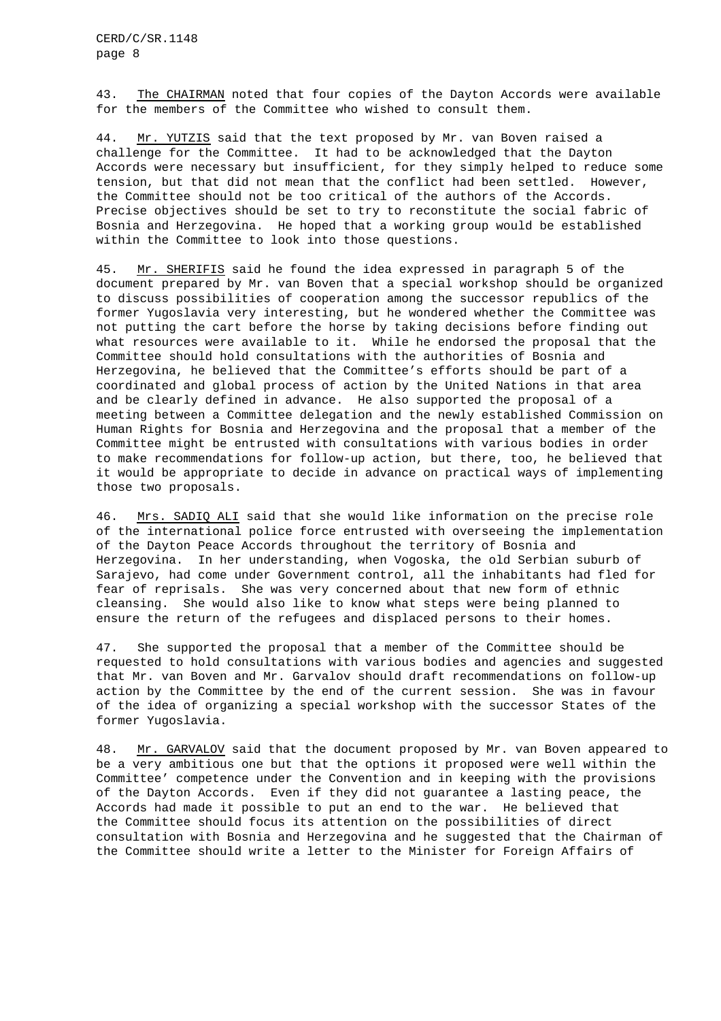43. The CHAIRMAN noted that four copies of the Dayton Accords were available for the members of the Committee who wished to consult them.

44. Mr. YUTZIS said that the text proposed by Mr. van Boven raised a challenge for the Committee. It had to be acknowledged that the Dayton Accords were necessary but insufficient, for they simply helped to reduce some tension, but that did not mean that the conflict had been settled. However, the Committee should not be too critical of the authors of the Accords. Precise objectives should be set to try to reconstitute the social fabric of Bosnia and Herzegovina. He hoped that a working group would be established within the Committee to look into those questions.

45. Mr. SHERIFIS said he found the idea expressed in paragraph 5 of the document prepared by Mr. van Boven that a special workshop should be organized to discuss possibilities of cooperation among the successor republics of the former Yugoslavia very interesting, but he wondered whether the Committee was not putting the cart before the horse by taking decisions before finding out what resources were available to it. While he endorsed the proposal that the Committee should hold consultations with the authorities of Bosnia and Herzegovina, he believed that the Committee's efforts should be part of a coordinated and global process of action by the United Nations in that area and be clearly defined in advance. He also supported the proposal of a meeting between a Committee delegation and the newly established Commission on Human Rights for Bosnia and Herzegovina and the proposal that a member of the Committee might be entrusted with consultations with various bodies in order to make recommendations for follow-up action, but there, too, he believed that it would be appropriate to decide in advance on practical ways of implementing those two proposals.

46. Mrs. SADIQ ALI said that she would like information on the precise role of the international police force entrusted with overseeing the implementation of the Dayton Peace Accords throughout the territory of Bosnia and Herzegovina. In her understanding, when Vogoska, the old Serbian suburb of Sarajevo, had come under Government control, all the inhabitants had fled for fear of reprisals. She was very concerned about that new form of ethnic cleansing. She would also like to know what steps were being planned to ensure the return of the refugees and displaced persons to their homes.

47. She supported the proposal that a member of the Committee should be requested to hold consultations with various bodies and agencies and suggested that Mr. van Boven and Mr. Garvalov should draft recommendations on follow-up action by the Committee by the end of the current session. She was in favour of the idea of organizing a special workshop with the successor States of the former Yugoslavia.

48. Mr. GARVALOV said that the document proposed by Mr. van Boven appeared to be a very ambitious one but that the options it proposed were well within the Committee' competence under the Convention and in keeping with the provisions of the Dayton Accords. Even if they did not guarantee a lasting peace, the Accords had made it possible to put an end to the war. He believed that the Committee should focus its attention on the possibilities of direct consultation with Bosnia and Herzegovina and he suggested that the Chairman of the Committee should write a letter to the Minister for Foreign Affairs of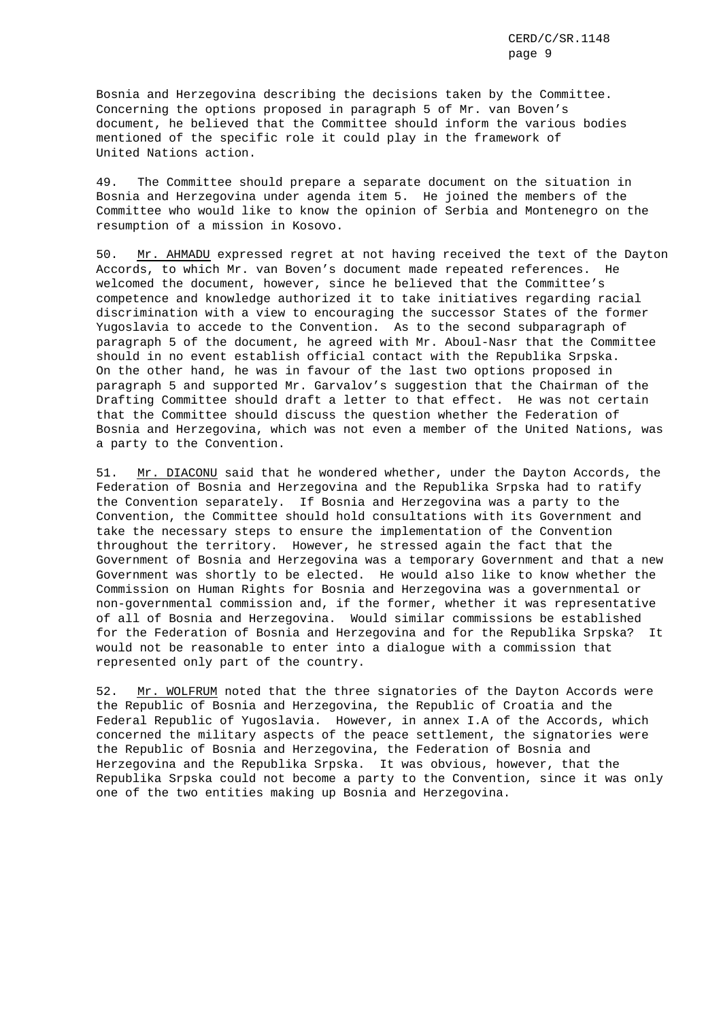Bosnia and Herzegovina describing the decisions taken by the Committee. Concerning the options proposed in paragraph 5 of Mr. van Boven's document, he believed that the Committee should inform the various bodies mentioned of the specific role it could play in the framework of United Nations action.

49. The Committee should prepare a separate document on the situation in Bosnia and Herzegovina under agenda item 5. He joined the members of the Committee who would like to know the opinion of Serbia and Montenegro on the resumption of a mission in Kosovo.

50. Mr. AHMADU expressed regret at not having received the text of the Dayton Accords, to which Mr. van Boven's document made repeated references. He welcomed the document, however, since he believed that the Committee's competence and knowledge authorized it to take initiatives regarding racial discrimination with a view to encouraging the successor States of the former Yugoslavia to accede to the Convention. As to the second subparagraph of paragraph 5 of the document, he agreed with Mr. Aboul-Nasr that the Committee should in no event establish official contact with the Republika Srpska. On the other hand, he was in favour of the last two options proposed in paragraph 5 and supported Mr. Garvalov's suggestion that the Chairman of the Drafting Committee should draft a letter to that effect. He was not certain that the Committee should discuss the question whether the Federation of Bosnia and Herzegovina, which was not even a member of the United Nations, was a party to the Convention.

51. Mr. DIACONU said that he wondered whether, under the Dayton Accords, the Federation of Bosnia and Herzegovina and the Republika Srpska had to ratify the Convention separately. If Bosnia and Herzegovina was a party to the Convention, the Committee should hold consultations with its Government and take the necessary steps to ensure the implementation of the Convention throughout the territory. However, he stressed again the fact that the Government of Bosnia and Herzegovina was a temporary Government and that a new Government was shortly to be elected. He would also like to know whether the Commission on Human Rights for Bosnia and Herzegovina was a governmental or non-governmental commission and, if the former, whether it was representative of all of Bosnia and Herzegovina. Would similar commissions be established for the Federation of Bosnia and Herzegovina and for the Republika Srpska? It would not be reasonable to enter into a dialogue with a commission that represented only part of the country.

52. Mr. WOLFRUM noted that the three signatories of the Dayton Accords were the Republic of Bosnia and Herzegovina, the Republic of Croatia and the Federal Republic of Yugoslavia. However, in annex I.A of the Accords, which concerned the military aspects of the peace settlement, the signatories were the Republic of Bosnia and Herzegovina, the Federation of Bosnia and Herzegovina and the Republika Srpska. It was obvious, however, that the Republika Srpska could not become a party to the Convention, since it was only one of the two entities making up Bosnia and Herzegovina.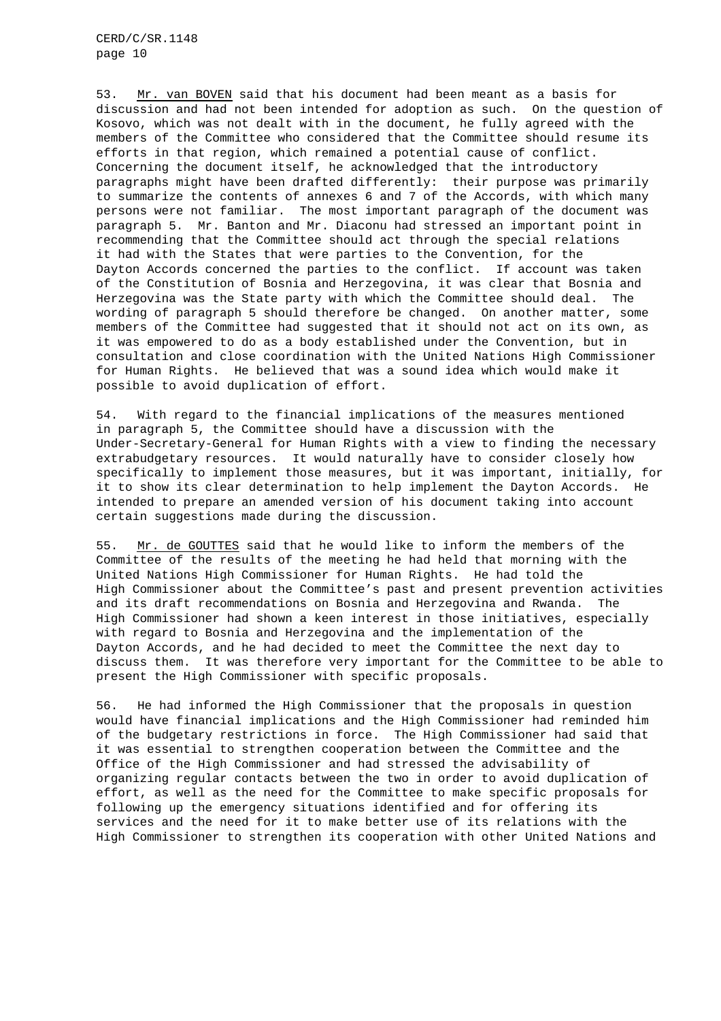53. Mr. van BOVEN said that his document had been meant as a basis for discussion and had not been intended for adoption as such. On the question of Kosovo, which was not dealt with in the document, he fully agreed with the members of the Committee who considered that the Committee should resume its efforts in that region, which remained a potential cause of conflict. Concerning the document itself, he acknowledged that the introductory paragraphs might have been drafted differently: their purpose was primarily to summarize the contents of annexes 6 and 7 of the Accords, with which many persons were not familiar. The most important paragraph of the document was paragraph 5. Mr. Banton and Mr. Diaconu had stressed an important point in recommending that the Committee should act through the special relations it had with the States that were parties to the Convention, for the Dayton Accords concerned the parties to the conflict. If account was taken of the Constitution of Bosnia and Herzegovina, it was clear that Bosnia and Herzegovina was the State party with which the Committee should deal. The wording of paragraph 5 should therefore be changed. On another matter, some members of the Committee had suggested that it should not act on its own, as it was empowered to do as a body established under the Convention, but in consultation and close coordination with the United Nations High Commissioner for Human Rights. He believed that was a sound idea which would make it possible to avoid duplication of effort.

54. With regard to the financial implications of the measures mentioned in paragraph 5, the Committee should have a discussion with the Under-Secretary-General for Human Rights with a view to finding the necessary extrabudgetary resources. It would naturally have to consider closely how specifically to implement those measures, but it was important, initially, for it to show its clear determination to help implement the Dayton Accords. He intended to prepare an amended version of his document taking into account certain suggestions made during the discussion.

55. Mr. de GOUTTES said that he would like to inform the members of the Committee of the results of the meeting he had held that morning with the United Nations High Commissioner for Human Rights. He had told the High Commissioner about the Committee's past and present prevention activities and its draft recommendations on Bosnia and Herzegovina and Rwanda. The High Commissioner had shown a keen interest in those initiatives, especially with regard to Bosnia and Herzegovina and the implementation of the Dayton Accords, and he had decided to meet the Committee the next day to discuss them. It was therefore very important for the Committee to be able to present the High Commissioner with specific proposals.

56. He had informed the High Commissioner that the proposals in question would have financial implications and the High Commissioner had reminded him of the budgetary restrictions in force. The High Commissioner had said that it was essential to strengthen cooperation between the Committee and the Office of the High Commissioner and had stressed the advisability of organizing regular contacts between the two in order to avoid duplication of effort, as well as the need for the Committee to make specific proposals for following up the emergency situations identified and for offering its services and the need for it to make better use of its relations with the High Commissioner to strengthen its cooperation with other United Nations and